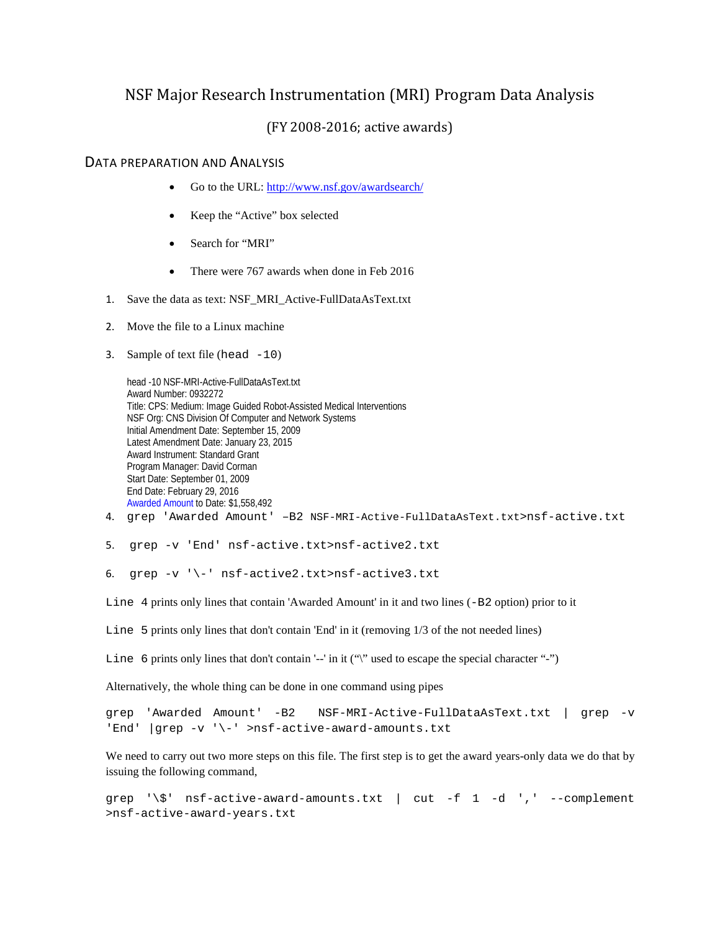## NSF Major Research Instrumentation (MRI) Program Data Analysis

## (FY 2008-2016; active awards)

## DATA PREPARATION AND ANALYSIS

- Go to the URL:<http://www.nsf.gov/awardsearch/>
- Keep the "Active" box selected
- Search for "MRI"
- There were 767 awards when done in Feb 2016
- 1. Save the data as text: NSF\_MRI\_Active-FullDataAsText.txt
- 2. Move the file to a Linux machine
- 3. Sample of text file (head  $-10$ )

head -10 NSF-MRI-Active-FullDataAsText.txt Award Number: 0932272 Title: CPS: Medium: Image Guided Robot-Assisted Medical Interventions NSF Org: CNS Division Of Computer and Network Systems Initial Amendment Date: September 15, 2009 Latest Amendment Date: January 23, 2015 Award Instrument: Standard Grant Program Manager: David Corman Start Date: September 01, 2009 End Date: February 29, 2016 Awarded Amount to Date: \$1,558,492

- 4. grep 'Awarded Amount' –B2 NSF-MRI-Active-FullDataAsText.txt>nsf-active.txt
- 5. grep -v 'End' nsf-active.txt>nsf-active2.txt

6. grep -v '\-' nsf-active2.txt>nsf-active3.txt

Line 4 prints only lines that contain 'Awarded Amount' in it and two lines (-B2 option) prior to it

Line 5 prints only lines that don't contain 'End' in it (removing  $1/3$  of the not needed lines)

Line 6 prints only lines that don't contain '--' in it  $($ "'' used to escape the special character "-")

Alternatively, the whole thing can be done in one command using pipes

grep 'Awarded Amount' -B2 NSF-MRI-Active-FullDataAsText.txt | grep -v 'End' |grep -v '\-' >nsf-active-award-amounts.txt

We need to carry out two more steps on this file. The first step is to get the award years-only data we do that by issuing the following command,

grep '\\$' nsf-active-award-amounts.txt | cut -f 1 -d ',' --complement >nsf-active-award-years.txt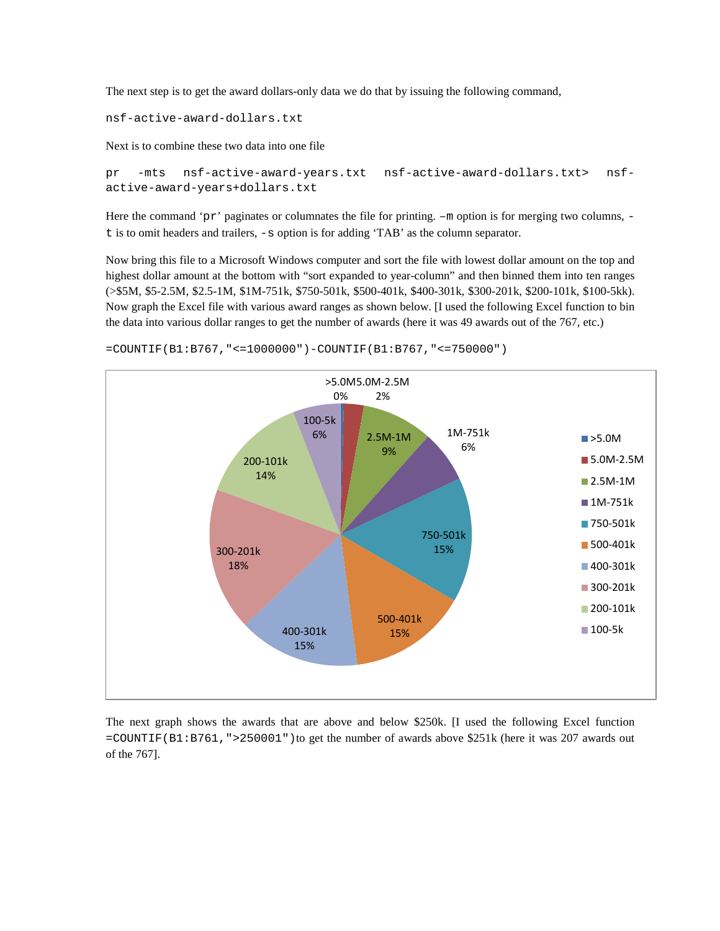The next step is to get the award dollars-only data we do that by issuing the following command,

nsf-active-award-dollars.txt

Next is to combine these two data into one file

```
pr -mts nsf-active-award-years.txt nsf-active-award-dollars.txt> nsf-
active-award-years+dollars.txt
```
Here the command 'pr' paginates or columnates the file for printing.  $-m$  option is for merging two columns,  $$ t is to omit headers and trailers, -s option is for adding 'TAB' as the column separator.

Now bring this file to a Microsoft Windows computer and sort the file with lowest dollar amount on the top and highest dollar amount at the bottom with "sort expanded to year-column" and then binned them into ten ranges (>\$5M, \$5-2.5M, \$2.5-1M, \$1M-751k, \$750-501k, \$500-401k, \$400-301k, \$300-201k, \$200-101k, \$100-5kk). Now graph the Excel file with various award ranges as shown below. [I used the following Excel function to bin the data into various dollar ranges to get the number of awards (here it was 49 awards out of the 767, etc.)



=COUNTIF(B1:B767,"<=1000000")-COUNTIF(B1:B767,"<=750000")

The next graph shows the awards that are above and below \$250k. [I used the following Excel function =COUNTIF(B1:B761,">250001")to get the number of awards above \$251k (here it was 207 awards out of the 767].